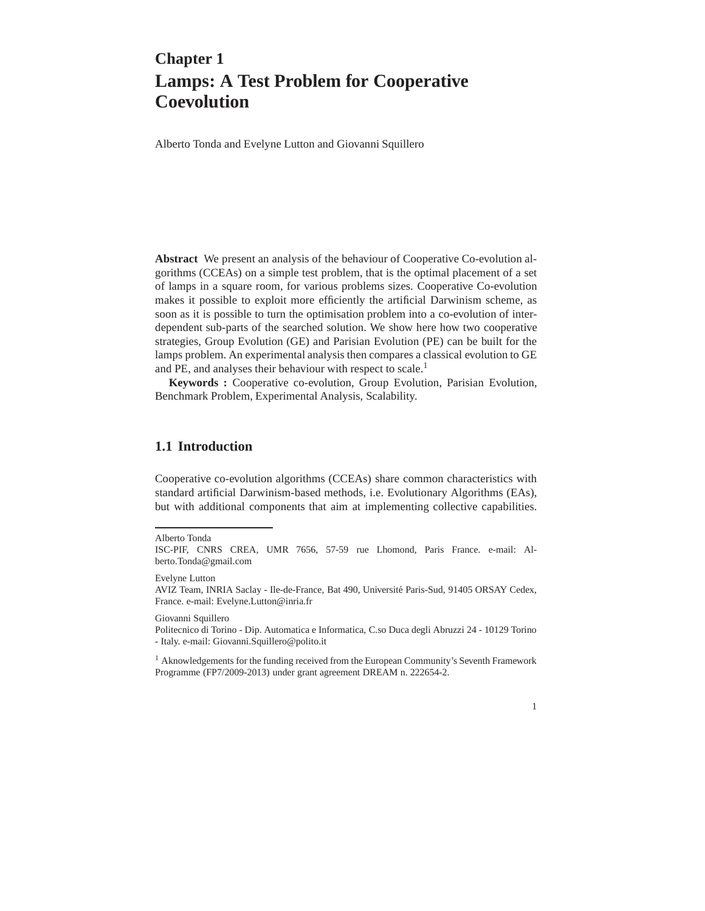# **Chapter 1 Lamps: A Test Problem for Cooperative Coevolution**

Alberto Tonda and Evelyne Lutton and Giovanni Squillero

**Abstract** We present an analysis of the behaviour of Cooperative Co-evolution algorithms (CCEAs) on a simple test problem, that is the optimal placement of a set of lamps in a square room, for various problems sizes. Cooperative Co-evolution makes it possible to exploit more efficiently the artificial Darwinism scheme, as soon as it is possible to turn the optimisation problem into a co-evolution of interdependent sub-parts of the searched solution. We show here how two cooperative strategies, Group Evolution (GE) and Parisian Evolution (PE) can be built for the lamps problem. An experimental analysis then compares a classical evolution to GE and PE, and analyses their behaviour with respect to scale.<sup>1</sup>

**Keywords :** Cooperative co-evolution, Group Evolution, Parisian Evolution, Benchmark Problem, Experimental Analysis, Scalability.

## **1.1 Introduction**

Cooperative co-evolution algorithms (CCEAs) share common characteristics with standard artificial Darwinism-based methods, i.e. Evolutionary Algorithms (EAs), but with additional components that aim at implementing collective capabilities.

Evelyne Lutton

Giovanni Squillero

<sup>&</sup>lt;sup>1</sup> Aknowledgements for the funding received from the European Community's Seventh Framework Programme (FP7/2009-2013) under grant agreement DREAM n. 222654-2.



Alberto Tonda

ISC-PIF, CNRS CREA, UMR 7656, 57-59 rue Lhomond, Paris France. e-mail: Alberto.Tonda@gmail.com

AVIZ Team, INRIA Saclay - Ile-de-France, Bat 490, Université Paris-Sud, 91405 ORSAY Cedex, France. e-mail: Evelyne.Lutton@inria.fr

Politecnico di Torino - Dip. Automatica e Informatica, C.so Duca degli Abruzzi 24 - 10129 Torino - Italy. e-mail: Giovanni.Squillero@polito.it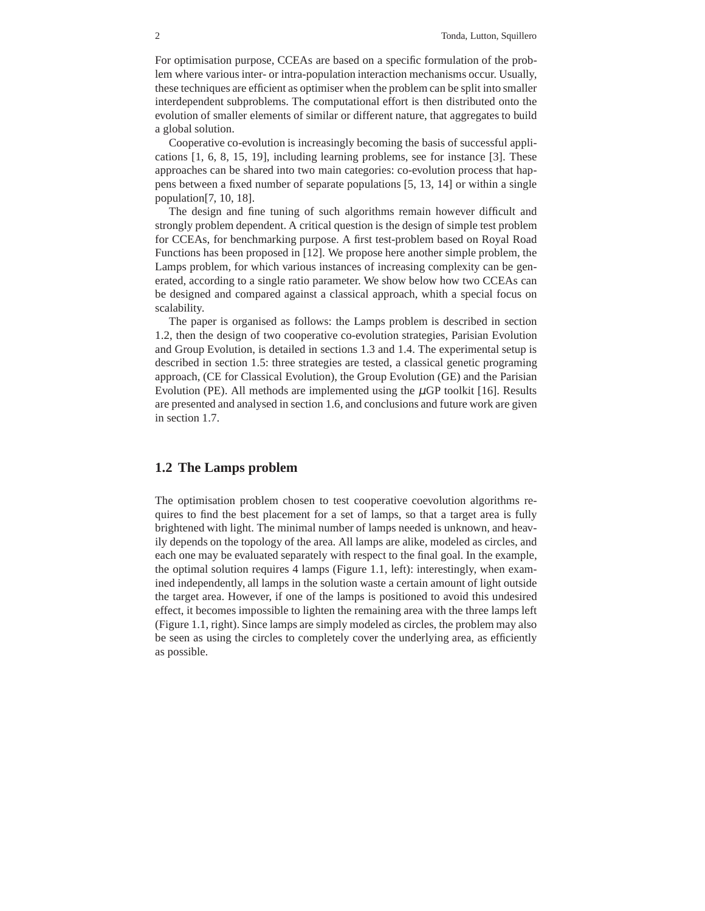For optimisation purpose, CCEAs are based on a specific formulation of the problem where various inter- or intra-population interaction mechanisms occur. Usually, these techniques are efficient as optimiser when the problem can be split into smaller interdependent subproblems. The computational effort is then distributed onto the evolution of smaller elements of similar or different nature, that aggregates to build a global solution.

Cooperative co-evolution is increasingly becoming the basis of successful applications [1, 6, 8, 15, 19], including learning problems, see for instance [3]. These approaches can be shared into two main categories: co-evolution process that happens between a fixed number of separate populations [5, 13, 14] or within a single population[7, 10, 18].

The design and fine tuning of such algorithms remain however difficult and strongly problem dependent. A critical question is the design of simple test problem for CCEAs, for benchmarking purpose. A first test-problem based on Royal Road Functions has been proposed in [12]. We propose here another simple problem, the Lamps problem, for which various instances of increasing complexity can be generated, according to a single ratio parameter. We show below how two CCEAs can be designed and compared against a classical approach, whith a special focus on scalability.

The paper is organised as follows: the Lamps problem is described in section 1.2, then the design of two cooperative co-evolution strategies, Parisian Evolution and Group Evolution, is detailed in sections 1.3 and 1.4. The experimental setup is described in section 1.5: three strategies are tested, a classical genetic programing approach, (CE for Classical Evolution), the Group Evolution (GE) and the Parisian Evolution (PE). All methods are implemented using the  $\mu$ GP toolkit [16]. Results are presented and analysed in section 1.6, and conclusions and future work are given in section 1.7.

## **1.2 The Lamps problem**

The optimisation problem chosen to test cooperative coevolution algorithms requires to find the best placement for a set of lamps, so that a target area is fully brightened with light. The minimal number of lamps needed is unknown, and heavily depends on the topology of the area. All lamps are alike, modeled as circles, and each one may be evaluated separately with respect to the final goal. In the example, the optimal solution requires 4 lamps (Figure 1.1, left): interestingly, when examined independently, all lamps in the solution waste a certain amount of light outside the target area. However, if one of the lamps is positioned to avoid this undesired effect, it becomes impossible to lighten the remaining area with the three lamps left (Figure 1.1, right). Since lamps are simply modeled as circles, the problem may also be seen as using the circles to completely cover the underlying area, as efficiently as possible.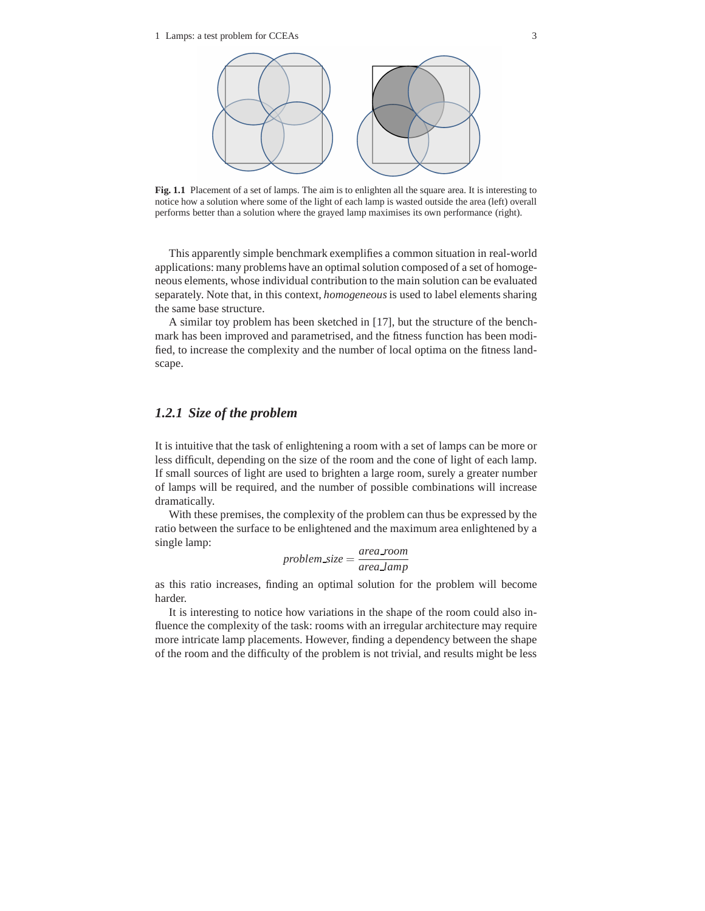

**Fig. 1.1** Placement of a set of lamps. The aim is to enlighten all the square area. It is interesting to notice how a solution where some of the light of each lamp is wasted outside the area (left) overall performs better than a solution where the grayed lamp maximises its own performance (right).

This apparently simple benchmark exemplifies a common situation in real-world applications: many problems have an optimal solution composed of a set of homogeneous elements, whose individual contribution to the main solution can be evaluated separately. Note that, in this context, *homogeneous*is used to label elements sharing the same base structure.

A similar toy problem has been sketched in [17], but the structure of the benchmark has been improved and parametrised, and the fitness function has been modified, to increase the complexity and the number of local optima on the fitness landscape.

## *1.2.1 Size of the problem*

It is intuitive that the task of enlightening a room with a set of lamps can be more or less difficult, depending on the size of the room and the cone of light of each lamp. If small sources of light are used to brighten a large room, surely a greater number of lamps will be required, and the number of possible combinations will increase dramatically.

With these premises, the complexity of the problem can thus be expressed by the ratio between the surface to be enlightened and the maximum area enlightened by a single lamp:

$$
problem\_size = \frac{area\_room}{area\_lamp}
$$

as this ratio increases, finding an optimal solution for the problem will become harder.

It is interesting to notice how variations in the shape of the room could also influence the complexity of the task: rooms with an irregular architecture may require more intricate lamp placements. However, finding a dependency between the shape of the room and the difficulty of the problem is not trivial, and results might be less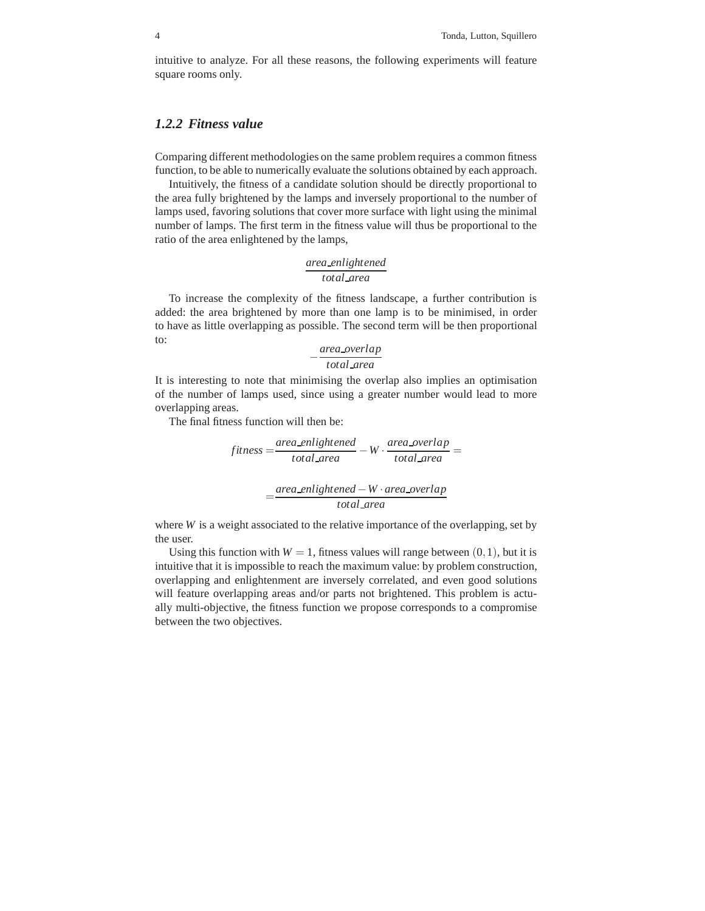intuitive to analyze. For all these reasons, the following experiments will feature square rooms only.

## *1.2.2 Fitness value*

Comparing different methodologies on the same problem requires a common fitness function, to be able to numerically evaluate the solutions obtained by each approach.

Intuitively, the fitness of a candidate solution should be directly proportional to the area fully brightened by the lamps and inversely proportional to the number of lamps used, favoring solutions that cover more surface with light using the minimal number of lamps. The first term in the fitness value will thus be proportional to the ratio of the area enlightened by the lamps,

$$
\frac{\textit{area\_enlightened}}{\textit{total\_area}}
$$

To increase the complexity of the fitness landscape, a further contribution is added: the area brightened by more than one lamp is to be minimised, in order to have as little overlapping as possible. The second term will be then proportional to:

$$
-\frac{area\_overlap}{total\_area}
$$

It is interesting to note that minimising the overlap also implies an optimisation of the number of lamps used, since using a greater number would lead to more overlapping areas.

The final fitness function will then be:

$$
fitness = \frac{area\_enlightened}{total\_area} - W \cdot \frac{area\_overlap}{total\_area} = \frac{area\_enlightened - W \cdot area\_overlap}{total\_area}
$$

where *W* is a weight associated to the relative importance of the overlapping, set by the user.

Using this function with  $W = 1$ , fitness values will range between  $(0, 1)$ , but it is intuitive that it is impossible to reach the maximum value: by problem construction, overlapping and enlightenment are inversely correlated, and even good solutions will feature overlapping areas and/or parts not brightened. This problem is actually multi-objective, the fitness function we propose corresponds to a compromise between the two objectives.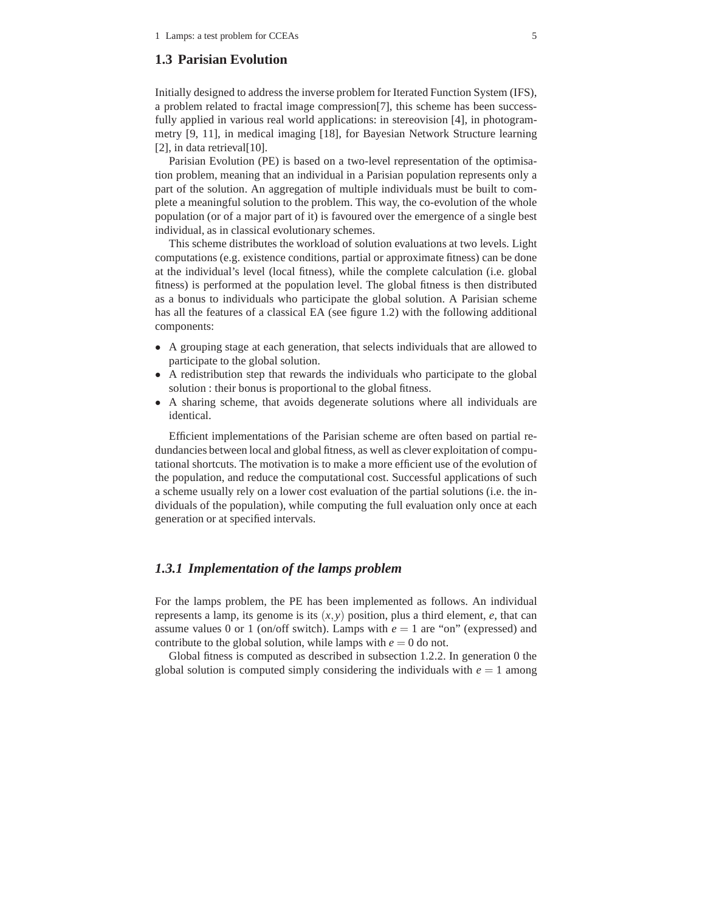## **1.3 Parisian Evolution**

Initially designed to address the inverse problem for Iterated Function System (IFS), a problem related to fractal image compression[7], this scheme has been successfully applied in various real world applications: in stereovision [4], in photogrammetry [9, 11], in medical imaging [18], for Bayesian Network Structure learning [2], in data retrieval[10].

Parisian Evolution (PE) is based on a two-level representation of the optimisation problem, meaning that an individual in a Parisian population represents only a part of the solution. An aggregation of multiple individuals must be built to complete a meaningful solution to the problem. This way, the co-evolution of the whole population (or of a major part of it) is favoured over the emergence of a single best individual, as in classical evolutionary schemes.

This scheme distributes the workload of solution evaluations at two levels. Light computations (e.g. existence conditions, partial or approximate fitness) can be done at the individual's level (local fitness), while the complete calculation (i.e. global fitness) is performed at the population level. The global fitness is then distributed as a bonus to individuals who participate the global solution. A Parisian scheme has all the features of a classical EA (see figure 1.2) with the following additional components:

- A grouping stage at each generation, that selects individuals that are allowed to participate to the global solution.
- A redistribution step that rewards the individuals who participate to the global solution : their bonus is proportional to the global fitness.
- A sharing scheme, that avoids degenerate solutions where all individuals are identical.

Efficient implementations of the Parisian scheme are often based on partial redundancies between local and global fitness, as well as clever exploitation of computational shortcuts. The motivation is to make a more efficient use of the evolution of the population, and reduce the computational cost. Successful applications of such a scheme usually rely on a lower cost evaluation of the partial solutions (i.e. the individuals of the population), while computing the full evaluation only once at each generation or at specified intervals.

## *1.3.1 Implementation of the lamps problem*

For the lamps problem, the PE has been implemented as follows. An individual represents a lamp, its genome is its  $(x, y)$  position, plus a third element,  $e$ , that can assume values 0 or 1 (on/off switch). Lamps with  $e = 1$  are "on" (expressed) and contribute to the global solution, while lamps with  $e = 0$  do not.

Global fitness is computed as described in subsection 1.2.2. In generation 0 the global solution is computed simply considering the individuals with  $e = 1$  among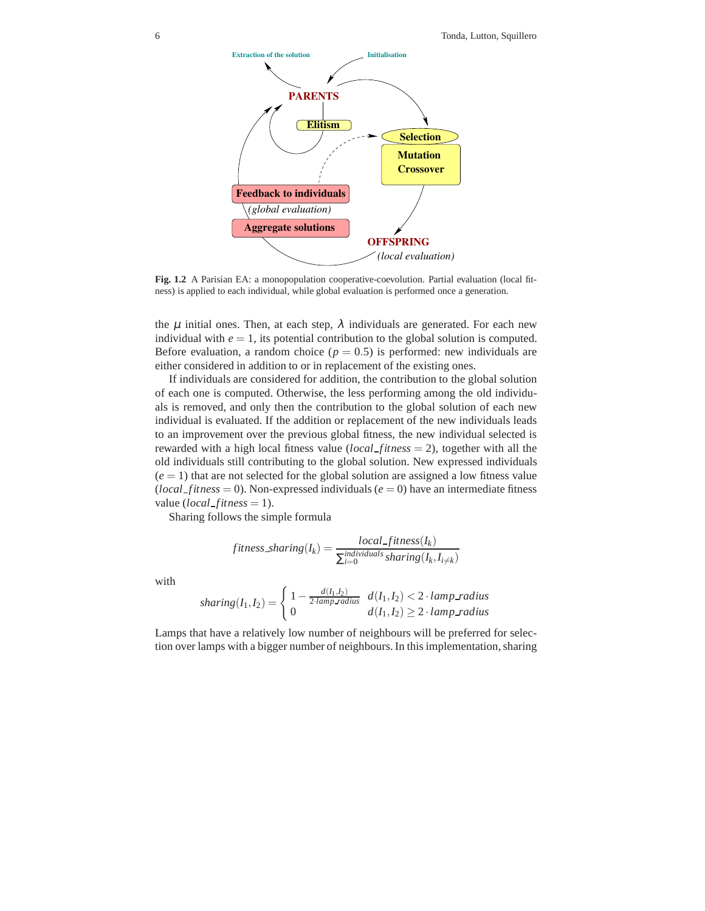

**Fig. 1.2** A Parisian EA: a monopopulation cooperative-coevolution. Partial evaluation (local fitness) is applied to each individual, while global evaluation is performed once a generation.

the  $\mu$  initial ones. Then, at each step,  $\lambda$  individuals are generated. For each new individual with  $e = 1$ , its potential contribution to the global solution is computed. Before evaluation, a random choice  $(p = 0.5)$  is performed: new individuals are either considered in addition to or in replacement of the existing ones.

If individuals are considered for addition, the contribution to the global solution of each one is computed. Otherwise, the less performing among the old individuals is removed, and only then the contribution to the global solution of each new individual is evaluated. If the addition or replacement of the new individuals leads to an improvement over the previous global fitness, the new individual selected is rewarded with a high local fitness value (*local fitness* = 2), together with all the old individuals still contributing to the global solution. New expressed individuals  $(e = 1)$  that are not selected for the global solution are assigned a low fitness value (*local\_fitness* = 0). Non-expressed individuals ( $e = 0$ ) have an intermediate fitness value (*local fitness* = 1).

Sharing follows the simple formula

$$
fitness\_sharing(I_k) = \frac{local\_fitness(I_k)}{\sum_{i=0}^{individuals} sharing(I_k, I_{i \neq k})}
$$

with

$$
sharing(I_1, I_2) = \begin{cases} 1 - \frac{d(I_1, I_2)}{2 \cdot lamp\_radius} & d(I_1, I_2) < 2 \cdot lamp\_radius \\ 0 & d(I_1, I_2) \ge 2 \cdot lamp\_radius \end{cases}
$$

Lamps that have a relatively low number of neighbours will be preferred for selection over lamps with a bigger number of neighbours. In this implementation, sharing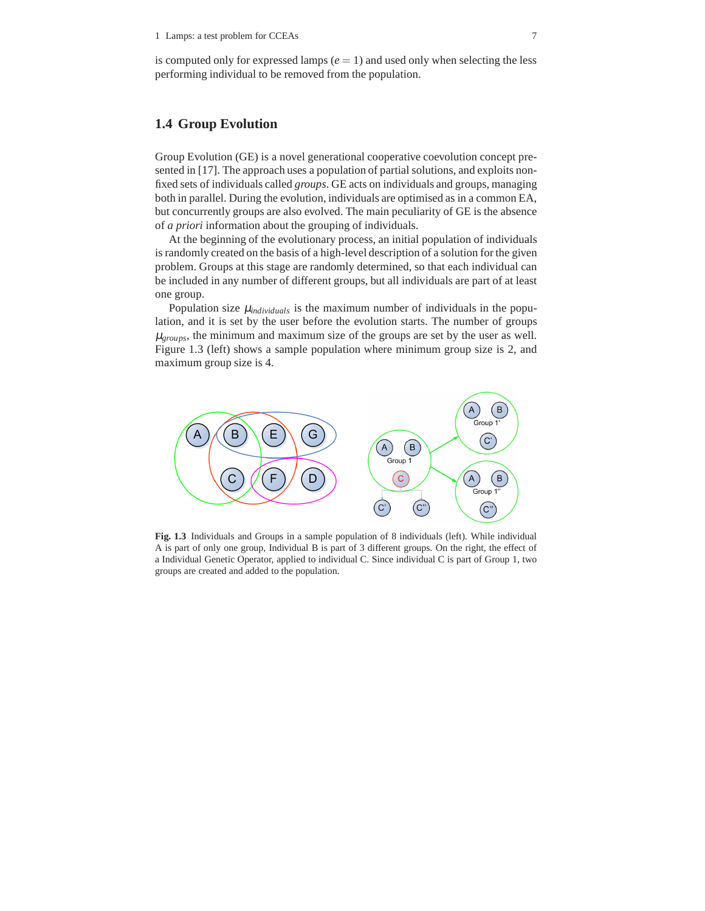is computed only for expressed lamps ( $e = 1$ ) and used only when selecting the less performing individual to be removed from the population.

### **1.4 Group Evolution**

Group Evolution (GE) is a novel generational cooperative coevolution concept presented in [17]. The approach uses a population of partial solutions, and exploits nonfixed sets of individuals called *groups*. GE acts on individuals and groups, managing both in parallel. During the evolution, individuals are optimised as in a common EA, but concurrently groups are also evolved. The main peculiarity of GE is the absence of *a priori* information about the grouping of individuals.

At the beginning of the evolutionary process, an initial population of individuals is randomly created on the basis of a high-level description of a solution for the given problem. Groups at this stage are randomly determined, so that each individual can be included in any number of different groups, but all individuals are part of at least one group.

Population size  $\mu_{individuals}$  is the maximum number of individuals in the population, and it is set by the user before the evolution starts. The number of groups  $\mu_{groups}$ , the minimum and maximum size of the groups are set by the user as well. Figure 1.3 (left) shows a sample population where minimum group size is 2, and maximum group size is 4.



**Fig. 1.3** Individuals and Groups in a sample population of 8 individuals (left). While individual A is part of only one group, Individual B is part of 3 different groups. On the right, the effect of a Individual Genetic Operator, applied to individual C. Since individual C is part of Group 1, two groups are created and added to the population.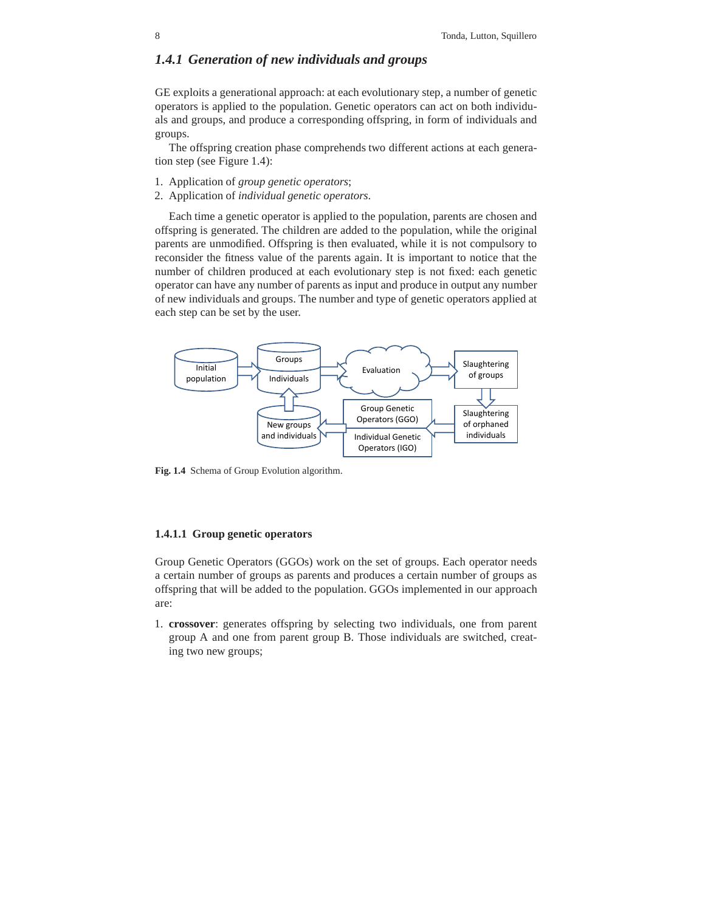## *1.4.1 Generation of new individuals and groups*

GE exploits a generational approach: at each evolutionary step, a number of genetic operators is applied to the population. Genetic operators can act on both individuals and groups, and produce a corresponding offspring, in form of individuals and groups.

The offspring creation phase comprehends two different actions at each generation step (see Figure 1.4):

- 1. Application of *group genetic operators*;
- 2. Application of *individual genetic operators*.

Each time a genetic operator is applied to the population, parents are chosen and offspring is generated. The children are added to the population, while the original parents are unmodified. Offspring is then evaluated, while it is not compulsory to reconsider the fitness value of the parents again. It is important to notice that the number of children produced at each evolutionary step is not fixed: each genetic operator can have any number of parents as input and produce in output any number of new individuals and groups. The number and type of genetic operators applied at each step can be set by the user.



**Fig. 1.4** Schema of Group Evolution algorithm.

#### **1.4.1.1 Group genetic operators**

Group Genetic Operators (GGOs) work on the set of groups. Each operator needs a certain number of groups as parents and produces a certain number of groups as offspring that will be added to the population. GGOs implemented in our approach are:

1. **crossover**: generates offspring by selecting two individuals, one from parent group A and one from parent group B. Those individuals are switched, creating two new groups;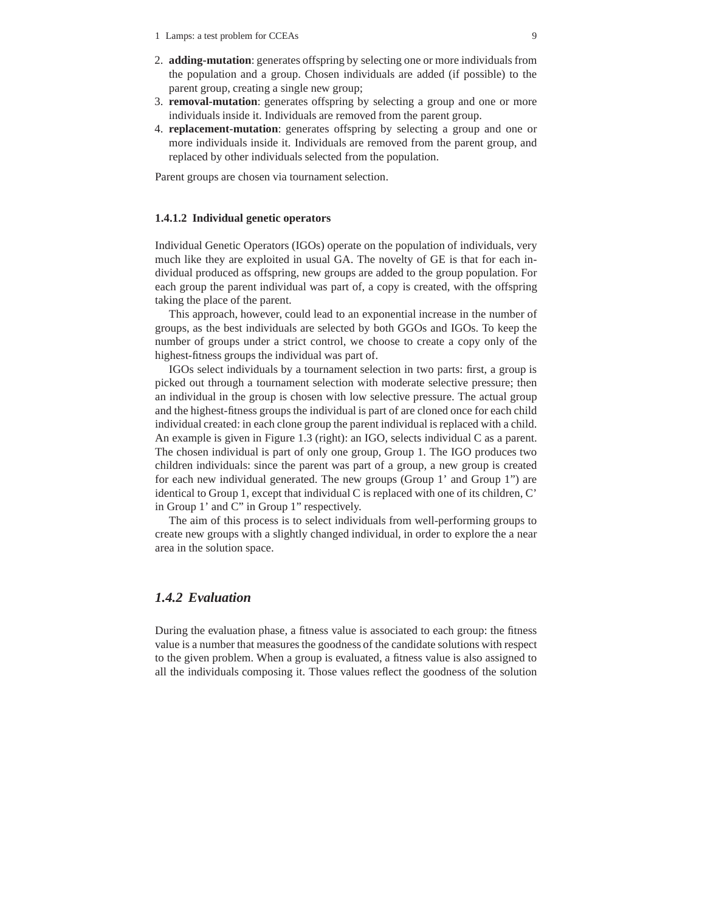- 2. **adding-mutation**: generates offspring by selecting one or more individuals from the population and a group. Chosen individuals are added (if possible) to the parent group, creating a single new group;
- 3. **removal-mutation**: generates offspring by selecting a group and one or more individuals inside it. Individuals are removed from the parent group.
- 4. **replacement-mutation**: generates offspring by selecting a group and one or more individuals inside it. Individuals are removed from the parent group, and replaced by other individuals selected from the population.

Parent groups are chosen via tournament selection.

#### **1.4.1.2 Individual genetic operators**

Individual Genetic Operators (IGOs) operate on the population of individuals, very much like they are exploited in usual GA. The novelty of GE is that for each individual produced as offspring, new groups are added to the group population. For each group the parent individual was part of, a copy is created, with the offspring taking the place of the parent.

This approach, however, could lead to an exponential increase in the number of groups, as the best individuals are selected by both GGOs and IGOs. To keep the number of groups under a strict control, we choose to create a copy only of the highest-fitness groups the individual was part of.

IGOs select individuals by a tournament selection in two parts: first, a group is picked out through a tournament selection with moderate selective pressure; then an individual in the group is chosen with low selective pressure. The actual group and the highest-fitness groups the individual is part of are cloned once for each child individual created: in each clone group the parent individual is replaced with a child. An example is given in Figure 1.3 (right): an IGO, selects individual C as a parent. The chosen individual is part of only one group, Group 1. The IGO produces two children individuals: since the parent was part of a group, a new group is created for each new individual generated. The new groups (Group 1' and Group 1") are identical to Group 1, except that individual C is replaced with one of its children, C' in Group 1' and C" in Group 1" respectively.

The aim of this process is to select individuals from well-performing groups to create new groups with a slightly changed individual, in order to explore the a near area in the solution space.

### *1.4.2 Evaluation*

During the evaluation phase, a fitness value is associated to each group: the fitness value is a number that measures the goodness of the candidate solutions with respect to the given problem. When a group is evaluated, a fitness value is also assigned to all the individuals composing it. Those values reflect the goodness of the solution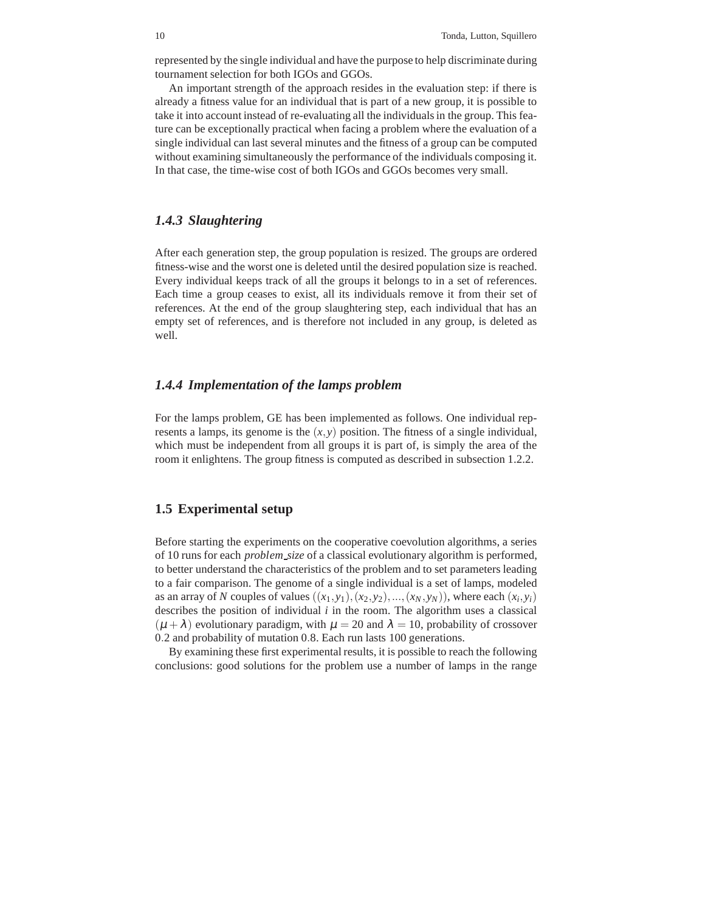represented by the single individual and have the purpose to help discriminate during tournament selection for both IGOs and GGOs.

An important strength of the approach resides in the evaluation step: if there is already a fitness value for an individual that is part of a new group, it is possible to take it into account instead of re-evaluating all the individuals in the group. This feature can be exceptionally practical when facing a problem where the evaluation of a single individual can last several minutes and the fitness of a group can be computed without examining simultaneously the performance of the individuals composing it. In that case, the time-wise cost of both IGOs and GGOs becomes very small.

## *1.4.3 Slaughtering*

After each generation step, the group population is resized. The groups are ordered fitness-wise and the worst one is deleted until the desired population size is reached. Every individual keeps track of all the groups it belongs to in a set of references. Each time a group ceases to exist, all its individuals remove it from their set of references. At the end of the group slaughtering step, each individual that has an empty set of references, and is therefore not included in any group, is deleted as well.

## *1.4.4 Implementation of the lamps problem*

For the lamps problem, GE has been implemented as follows. One individual represents a lamps, its genome is the  $(x, y)$  position. The fitness of a single individual, which must be independent from all groups it is part of, is simply the area of the room it enlightens. The group fitness is computed as described in subsection 1.2.2.

#### **1.5 Experimental setup**

Before starting the experiments on the cooperative coevolution algorithms, a series of 10 runs for each *problem size* of a classical evolutionary algorithm is performed, to better understand the characteristics of the problem and to set parameters leading to a fair comparison. The genome of a single individual is a set of lamps, modeled as an array of *N* couples of values  $((x_1,y_1),(x_2,y_2),..., (x_N,y_N))$ , where each  $(x_i,y_i)$ describes the position of individual *i* in the room. The algorithm uses a classical  $(\mu + \lambda)$  evolutionary paradigm, with  $\mu = 20$  and  $\lambda = 10$ , probability of crossover 0.2 and probability of mutation 0.8. Each run lasts 100 generations.

By examining these first experimental results, it is possible to reach the following conclusions: good solutions for the problem use a number of lamps in the range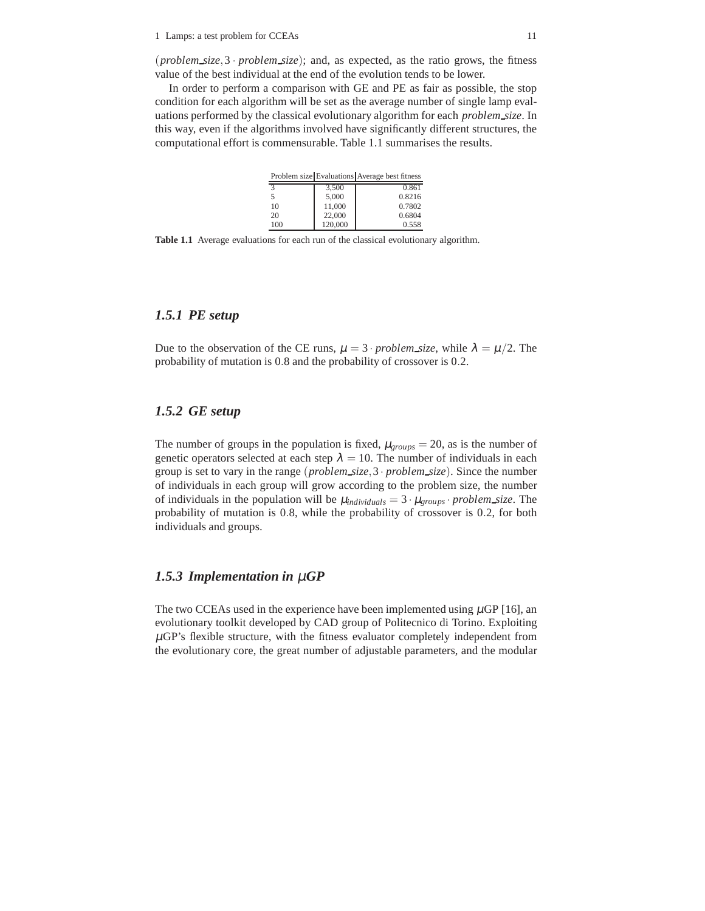(*problem\_size*,  $3 \cdot problem\_size$ ); and, as expected, as the ratio grows, the fitness value of the best individual at the end of the evolution tends to be lower.

In order to perform a comparison with GE and PE as fair as possible, the stop condition for each algorithm will be set as the average number of single lamp evaluations performed by the classical evolutionary algorithm for each *problem size*. In this way, even if the algorithms involved have significantly different structures, the computational effort is commensurable. Table 1.1 summarises the results.

|                          |         | Problem size Evaluations Average best fitness |
|--------------------------|---------|-----------------------------------------------|
| $\overline{\mathcal{E}}$ | 3.500   | 0.861                                         |
| 5                        | 5,000   | 0.8216                                        |
| 10                       | 11.000  | 0.7802                                        |
| 20                       | 22,000  | 0.6804                                        |
| 100                      | 120,000 | 0.558                                         |

**Table 1.1** Average evaluations for each run of the classical evolutionary algorithm.

## *1.5.1 PE setup*

Due to the observation of the CE runs,  $\mu = 3 \cdot problem\_size$ , while  $\lambda = \mu/2$ . The probability of mutation is 0.8 and the probability of crossover is 0.2.

## *1.5.2 GE setup*

The number of groups in the population is fixed,  $\mu_{groups} = 20$ , as is the number of genetic operators selected at each step  $\lambda = 10$ . The number of individuals in each group is set to vary in the range (*problem size*,3 · *problem size*). Since the number of individuals in each group will grow according to the problem size, the number of individuals in the population will be  $\mu_{individuals} = 3 \cdot \mu_{groups} \cdot problem\_size$ . The probability of mutation is 0.8, while the probability of crossover is 0.2, for both individuals and groups.

## 1.5.3 Implementation in  $\mu GP$

The two CCEAs used in the experience have been implemented using  $\mu$ GP [16], an evolutionary toolkit developed by CAD group of Politecnico di Torino. Exploiting  $\mu$ GP's flexible structure, with the fitness evaluator completely independent from the evolutionary core, the great number of adjustable parameters, and the modular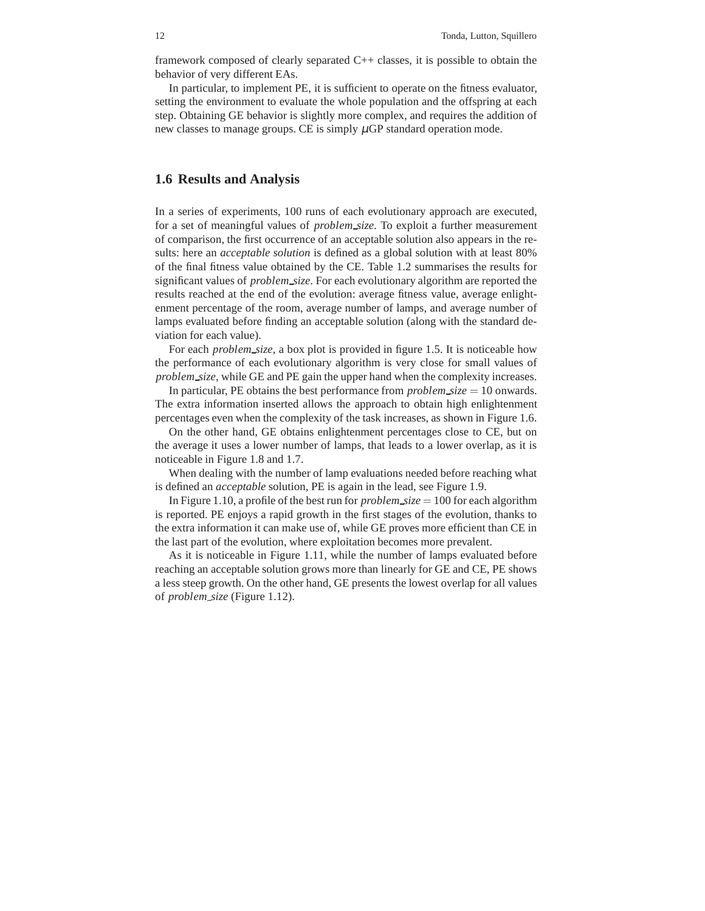framework composed of clearly separated C++ classes, it is possible to obtain the behavior of very different EAs.

In particular, to implement PE, it is sufficient to operate on the fitness evaluator, setting the environment to evaluate the whole population and the offspring at each step. Obtaining GE behavior is slightly more complex, and requires the addition of new classes to manage groups. CE is simply  $\mu$ GP standard operation mode.

## **1.6 Results and Analysis**

In a series of experiments, 100 runs of each evolutionary approach are executed, for a set of meaningful values of *problem size*. To exploit a further measurement of comparison, the first occurrence of an acceptable solution also appears in the results: here an *acceptable solution* is defined as a global solution with at least 80% of the final fitness value obtained by the CE. Table 1.2 summarises the results for significant values of *problem size*. For each evolutionary algorithm are reported the results reached at the end of the evolution: average fitness value, average enlightenment percentage of the room, average number of lamps, and average number of lamps evaluated before finding an acceptable solution (along with the standard deviation for each value).

For each *problem size*, a box plot is provided in figure 1.5. It is noticeable how the performance of each evolutionary algorithm is very close for small values of *problem size*, while GE and PE gain the upper hand when the complexity increases.

In particular, PE obtains the best performance from  $problem\_size = 10$  onwards. The extra information inserted allows the approach to obtain high enlightenment percentages even when the complexity of the task increases, as shown in Figure 1.6.

On the other hand, GE obtains enlightenment percentages close to CE, but on the average it uses a lower number of lamps, that leads to a lower overlap, as it is noticeable in Figure 1.8 and 1.7.

When dealing with the number of lamp evaluations needed before reaching what is defined an *acceptable* solution, PE is again in the lead, see Figure 1.9.

In Figure 1.10, a profile of the best run for *problem\_size* = 100 for each algorithm is reported. PE enjoys a rapid growth in the first stages of the evolution, thanks to the extra information it can make use of, while GE proves more efficient than CE in the last part of the evolution, where exploitation becomes more prevalent.

As it is noticeable in Figure 1.11, while the number of lamps evaluated before reaching an acceptable solution grows more than linearly for GE and CE, PE shows a less steep growth. On the other hand, GE presents the lowest overlap for all values of *problem size* (Figure 1.12).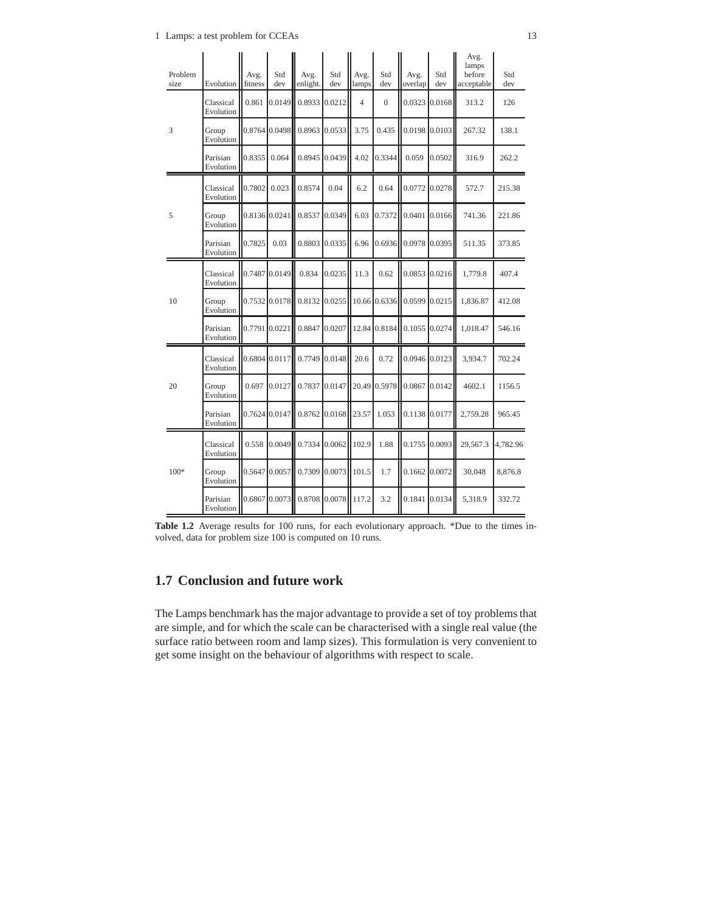| Problem<br>size | Evolution              | Avg.<br>fitness | Std<br>dev    | Avg.<br>enlight. | Std<br>dev    | Avg.<br>lamps  | Std<br>dev   | Avg.<br>overlap | Std<br>dev    | Avg.<br>lamps<br>before<br>acceptable | Std<br>dev |
|-----------------|------------------------|-----------------|---------------|------------------|---------------|----------------|--------------|-----------------|---------------|---------------------------------------|------------|
| 3               | Classical<br>Evolution | 0.861           | 0.0149        | 0.8933           | 0.0212        | $\overline{4}$ | $\theta$     | 0.0323          | 0.0168        | 313.2                                 | 126        |
|                 | Group<br>Evolution     |                 | 0.8764 0.0498 | 0.8963           | 0.0533        | 3.75           | 0.435        |                 | 0.0198 0.0103 | 267.32                                | 138.1      |
|                 | Parisian<br>Evolution  | 0.8355          | 0.064         | 0.8945           | 0.0439        | 4.02           | 0.3344       | 0.059           | 0.0502        | 316.9                                 | 262.2      |
| 5               | Classical<br>Evolution | 0.7802          | 0.023         | 0.8574           | 0.04          | 6.2            | 0.64         | 0.0772          | 0.0278        | 572.7                                 | 215.38     |
|                 | Group<br>Evolution     | 0.8136 0.0241   |               | 0.8537           | 0.0349        | 6.03           | 0.7372       |                 | 0.0401 0.0166 | 741.36                                | 221.86     |
|                 | Parisian<br>Evolution  | 0.7825          | 0.03          | 0.8803           | 0.0335        | 6.96           | 0.6936       | 0.0978          | 0.0395        | 511.35                                | 373.85     |
| 10              | Classical<br>Evolution |                 | 0.7487 0.0149 | 0.834            | 0.0235        | 11.3           | 0.62         | 0.0853          | 0.0216        | 1,779.8                               | 407.4      |
|                 | Group<br>Evolution     |                 | 0.7532 0.0178 | 0.8132           | 0.0255        |                | 10.66 0.6336 | 0.0599          | 0.0215        | 1,836.87                              | 412.08     |
|                 | Parisian<br>Evolution  |                 | 0.7791 0.0221 | 0.8847           | 0.0207        |                | 12.84 0.8184 | 0.1055          | 0.0274        | 1,018.47                              | 546.16     |
| 20              | Classical<br>Evolution |                 | 0.6804 0.0117 | 0.7749           | 0.0148        | 20.6           | 0.72         |                 | 0.0946 0.0123 | 3,934.7                               | 702.24     |
|                 | Group<br>Evolution     | 0.697           | 0.0127        | 0.7837           | 0.0147        | 20.49          | 0.5978       | 0.0867          | 0.0142        | 4602.1                                | 1156.5     |
|                 | Parisian<br>Evolution  |                 | 0.7624 0.0147 | 0.8762           | 0.0168        | 23.57          | 1.053        | 0.1138 0.0177   |               | 2,759.28                              | 965.45     |
| $100*$          | Classical<br>Evolution | 0.558           | 0.0049        |                  | 0.7334 0.0062 | 102.9          | 1.88         | 0.1755          | 0.0093        | 29,567.3                              | 4,782.96   |
|                 | Group<br>Evolution     |                 | 0.5647 0.0057 | 0.7309           | 0.0073        | 101.5          | 1.7          | 0.1662          | 0.0072        | 30,048                                | 8,876.8    |
|                 | Parisian<br>Evolution  |                 | 0.6867 0.0073 | 0.8708           | 0.0078        | 117.2          | 3.2          | 0.1841          | 0.0134        | 5,318.9                               | 332.72     |

Table 1.2 Average results for 100 runs, for each evolutionary approach. \*Due to the times involved, data for problem size 100 is computed on 10 runs.

## **1.7 Conclusion and future work**

The Lamps benchmark has the major advantage to provide a set of toy problems that are simple, and for which the scale can be characterised with a single real value (the surface ratio between room and lamp sizes). This formulation is very convenient to get some insight on the behaviour of algorithms with respect to scale.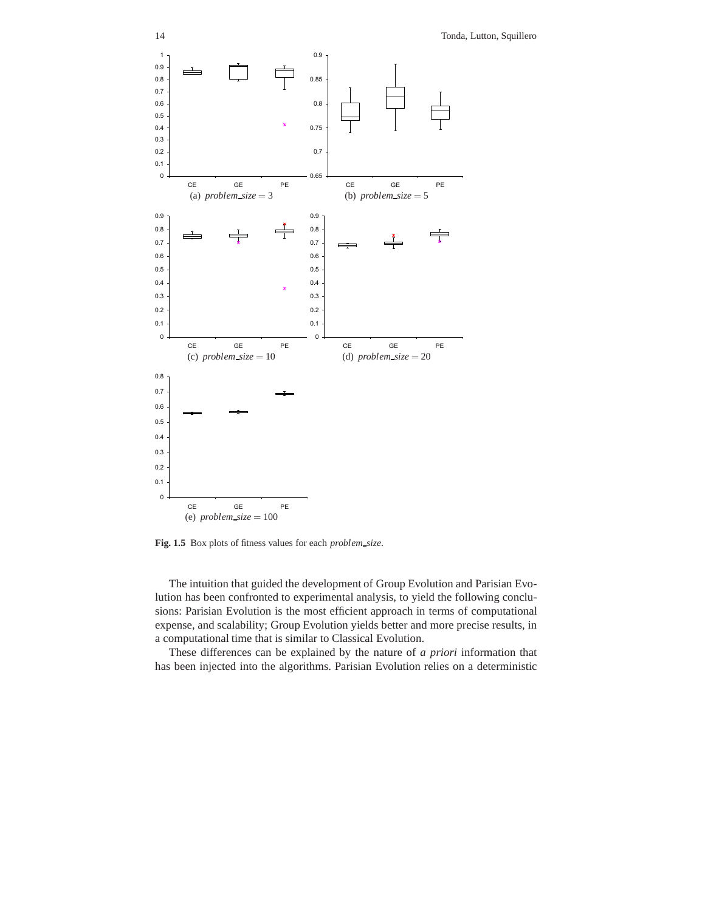

**Fig. 1.5** Box plots of fitness values for each *problem size*.

The intuition that guided the development of Group Evolution and Parisian Evolution has been confronted to experimental analysis, to yield the following conclusions: Parisian Evolution is the most efficient approach in terms of computational expense, and scalability; Group Evolution yields better and more precise results, in a computational time that is similar to Classical Evolution.

These differences can be explained by the nature of *a priori* information that has been injected into the algorithms. Parisian Evolution relies on a deterministic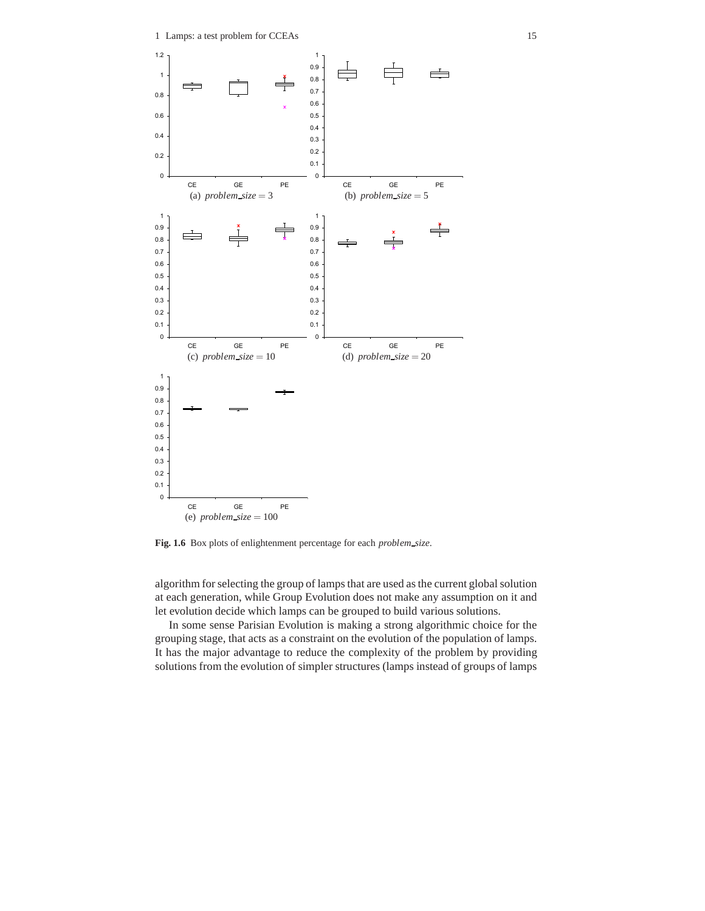

**Fig. 1.6** Box plots of enlightenment percentage for each *problem size*.

algorithm for selecting the group of lamps that are used as the current global solution at each generation, while Group Evolution does not make any assumption on it and let evolution decide which lamps can be grouped to build various solutions.

In some sense Parisian Evolution is making a strong algorithmic choice for the grouping stage, that acts as a constraint on the evolution of the population of lamps. It has the major advantage to reduce the complexity of the problem by providing solutions from the evolution of simpler structures (lamps instead of groups of lamps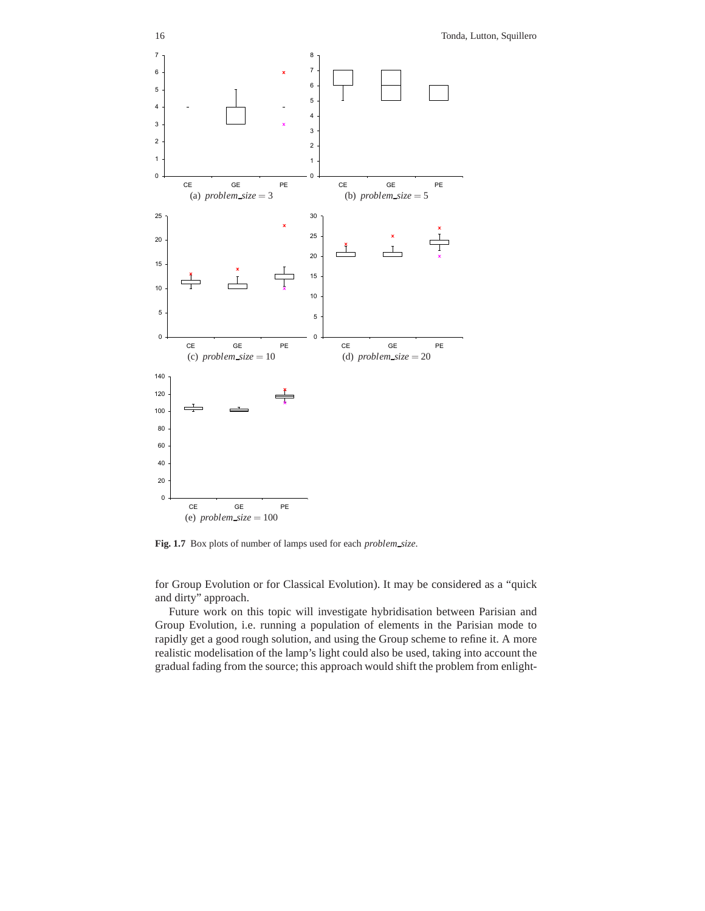

**Fig. 1.7** Box plots of number of lamps used for each *problem size*.

for Group Evolution or for Classical Evolution). It may be considered as a "quick and dirty" approach.

Future work on this topic will investigate hybridisation between Parisian and Group Evolution, i.e. running a population of elements in the Parisian mode to rapidly get a good rough solution, and using the Group scheme to refine it. A more realistic modelisation of the lamp's light could also be used, taking into account the gradual fading from the source; this approach would shift the problem from enlight-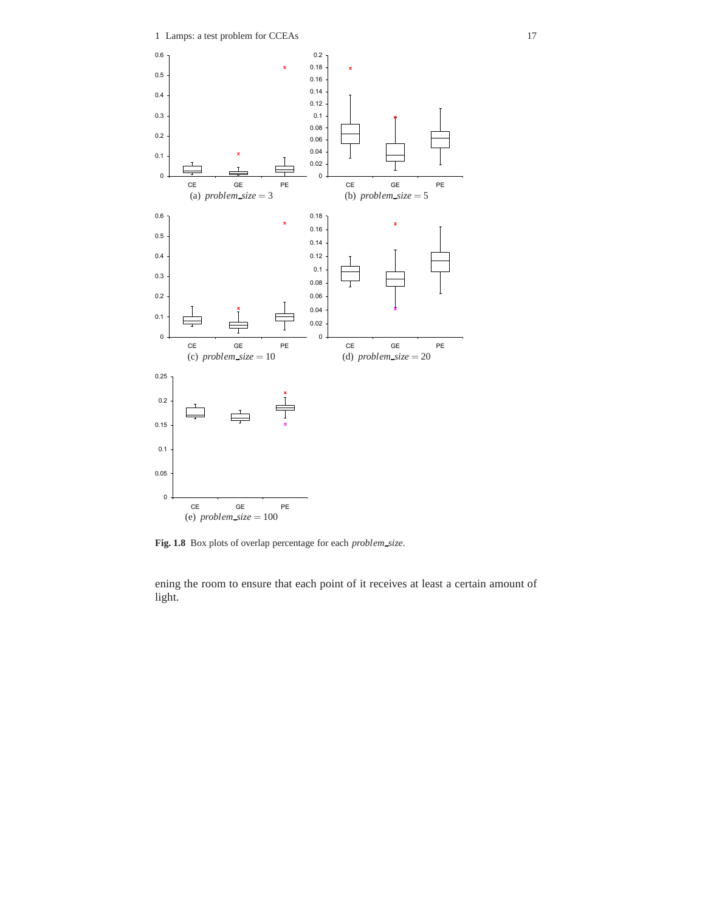![](_page_16_Figure_1.jpeg)

**Fig. 1.8** Box plots of overlap percentage for each *problem size*.

ening the room to ensure that each point of it receives at least a certain amount of light.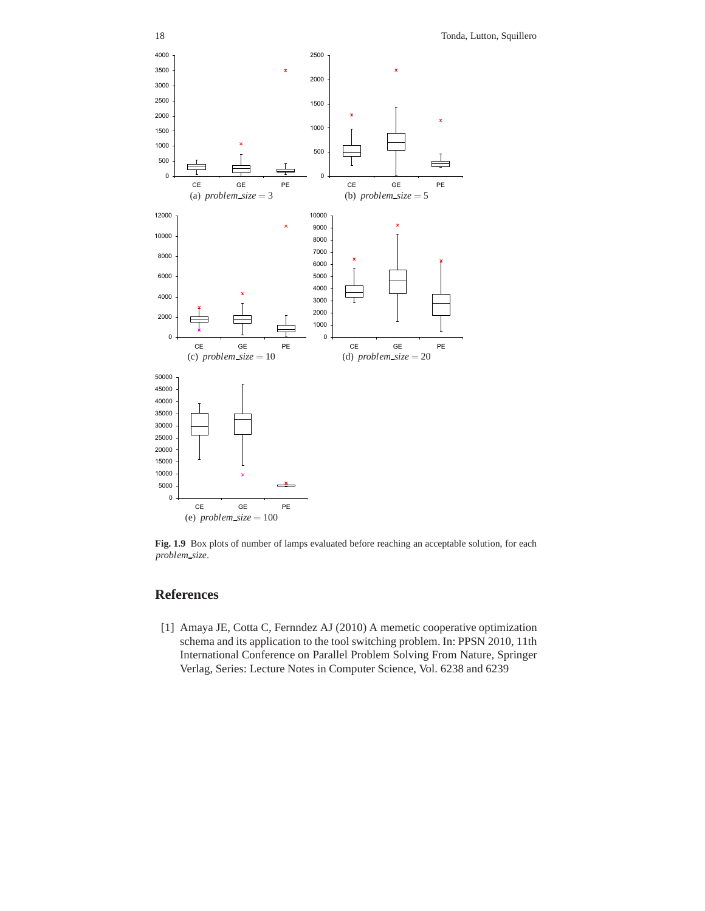![](_page_17_Figure_0.jpeg)

**Fig. 1.9** Box plots of number of lamps evaluated before reaching an acceptable solution, for each *problem size*.

## **References**

[1] Amaya JE, Cotta C, Fernndez AJ (2010) A memetic cooperative optimization schema and its application to the tool switching problem. In: PPSN 2010, 11th International Conference on Parallel Problem Solving From Nature, Springer Verlag, Series: Lecture Notes in Computer Science, Vol. 6238 and 6239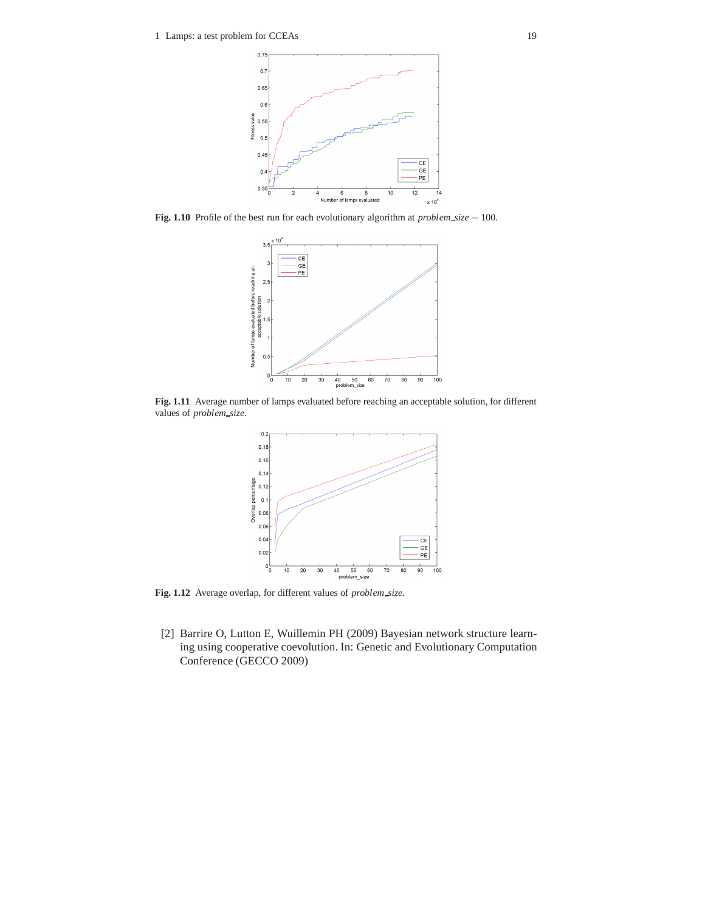![](_page_18_Figure_1.jpeg)

**Fig. 1.10** Profile of the best run for each evolutionary algorithm at *problem size* = 100.

![](_page_18_Figure_3.jpeg)

**Fig. 1.11** Average number of lamps evaluated before reaching an acceptable solution, for different values of *problem size*.

![](_page_18_Figure_5.jpeg)

**Fig. 1.12** Average overlap, for different values of *problem size*.

[2] Barrire O, Lutton E, Wuillemin PH (2009) Bayesian network structure learning using cooperative coevolution. In: Genetic and Evolutionary Computation Conference (GECCO 2009)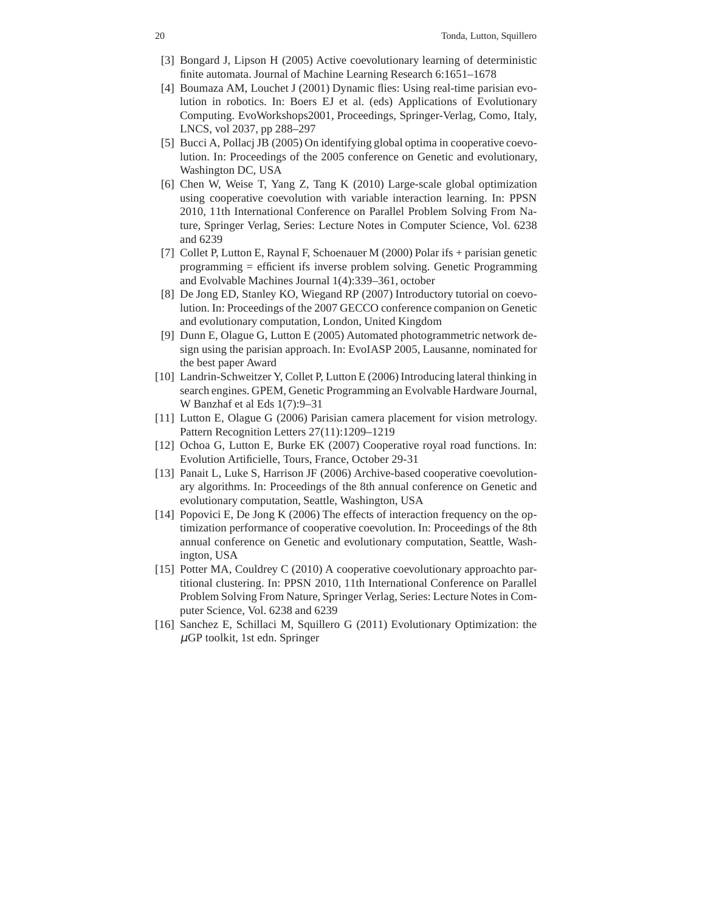- [3] Bongard J, Lipson H (2005) Active coevolutionary learning of deterministic finite automata. Journal of Machine Learning Research 6:1651–1678
- [4] Boumaza AM, Louchet J (2001) Dynamic flies: Using real-time parisian evolution in robotics. In: Boers EJ et al. (eds) Applications of Evolutionary Computing. EvoWorkshops2001, Proceedings, Springer-Verlag, Como, Italy, LNCS, vol 2037, pp 288–297
- [5] Bucci A, Pollacj JB (2005) On identifying global optima in cooperative coevolution. In: Proceedings of the 2005 conference on Genetic and evolutionary, Washington DC, USA
- [6] Chen W, Weise T, Yang Z, Tang K (2010) Large-scale global optimization using cooperative coevolution with variable interaction learning. In: PPSN 2010, 11th International Conference on Parallel Problem Solving From Nature, Springer Verlag, Series: Lecture Notes in Computer Science, Vol. 6238 and 6239
- [7] Collet P, Lutton E, Raynal F, Schoenauer M (2000) Polar ifs + parisian genetic programming = efficient ifs inverse problem solving. Genetic Programming and Evolvable Machines Journal 1(4):339–361, october
- [8] De Jong ED, Stanley KO, Wiegand RP (2007) Introductory tutorial on coevolution. In: Proceedings of the 2007 GECCO conference companion on Genetic and evolutionary computation, London, United Kingdom
- [9] Dunn E, Olague G, Lutton E (2005) Automated photogrammetric network design using the parisian approach. In: EvoIASP 2005, Lausanne, nominated for the best paper Award
- [10] Landrin-Schweitzer Y, Collet P, Lutton E (2006) Introducing lateral thinking in search engines. GPEM, Genetic Programming an Evolvable Hardware Journal, W Banzhaf et al Eds 1(7):9–31
- [11] Lutton E, Olague G (2006) Parisian camera placement for vision metrology. Pattern Recognition Letters 27(11):1209–1219
- [12] Ochoa G, Lutton E, Burke EK (2007) Cooperative royal road functions. In: Evolution Artificielle, Tours, France, October 29-31
- [13] Panait L, Luke S, Harrison JF (2006) Archive-based cooperative coevolutionary algorithms. In: Proceedings of the 8th annual conference on Genetic and evolutionary computation, Seattle, Washington, USA
- [14] Popovici E, De Jong K (2006) The effects of interaction frequency on the optimization performance of cooperative coevolution. In: Proceedings of the 8th annual conference on Genetic and evolutionary computation, Seattle, Washington, USA
- [15] Potter MA, Couldrey C (2010) A cooperative coevolutionary approachto partitional clustering. In: PPSN 2010, 11th International Conference on Parallel Problem Solving From Nature, Springer Verlag, Series: Lecture Notes in Computer Science, Vol. 6238 and 6239
- [16] Sanchez E, Schillaci M, Squillero G (2011) Evolutionary Optimization: the µGP toolkit, 1st edn. Springer